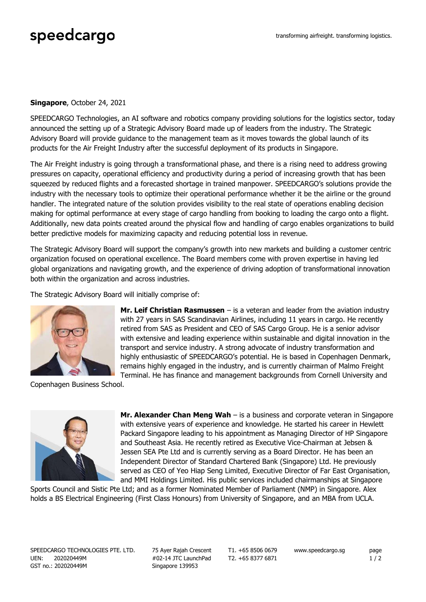## speedcargo

## **Singapore**, October 24, 2021

SPEEDCARGO Technologies, an AI software and robotics company providing solutions for the logistics sector, today announced the setting up of a Strategic Advisory Board made up of leaders from the industry. The Strategic Advisory Board will provide guidance to the management team as it moves towards the global launch of its products for the Air Freight Industry after the successful deployment of its products in Singapore.

The Air Freight industry is going through a transformational phase, and there is a rising need to address growing pressures on capacity, operational efficiency and productivity during a period of increasing growth that has been squeezed by reduced flights and a forecasted shortage in trained manpower. SPEEDCARGO's solutions provide the industry with the necessary tools to optimize their operational performance whether it be the airline or the ground handler. The integrated nature of the solution provides visibility to the real state of operations enabling decision making for optimal performance at every stage of cargo handling from booking to loading the cargo onto a flight. Additionally, new data points created around the physical flow and handling of cargo enables organizations to build better predictive models for maximizing capacity and reducing potential loss in revenue.

The Strategic Advisory Board will support the company's growth into new markets and building a customer centric organization focused on operational excellence. The Board members come with proven expertise in having led global organizations and navigating growth, and the experience of driving adoption of transformational innovation both within the organization and across industries.

The Strategic Advisory Board will initially comprise of:



**Mr. Leif Christian Rasmussen** – is a veteran and leader from the aviation industry with 27 years in SAS Scandinavian Airlines, including 11 years in cargo. He recently retired from SAS as President and CEO of SAS Cargo Group. He is a senior advisor with extensive and leading experience within sustainable and digital innovation in the transport and service industry. A strong advocate of industry transformation and highly enthusiastic of SPEEDCARGO's potential. He is based in Copenhagen Denmark, remains highly engaged in the industry, and is currently chairman of Malmo Freight Terminal. He has finance and management backgrounds from Cornell University and

Copenhagen Business School.



**Mr. Alexander Chan Meng Wah** – is a business and corporate veteran in Singapore with extensive years of experience and knowledge. He started his career in Hewlett Packard Singapore leading to his appointment as Managing Director of HP Singapore and Southeast Asia. He recently retired as Executive Vice-Chairman at Jebsen & Jessen SEA Pte Ltd and is currently serving as a Board Director. He has been an Independent Director of Standard Chartered Bank (Singapore) Ltd. He previously served as CEO of Yeo Hiap Seng Limited, Executive Director of Far East Organisation, and MMI Holdings Limited. His public services included chairmanships at Singapore

Sports Council and Sistic Pte Ltd; and as a former Nominated Member of Parliament (NMP) in Singapore. Alex holds a BS Electrical Engineering (First Class Honours) from University of Singapore, and an MBA from UCLA.

SPEEDCARGO TECHNOLOGIES PTE. LTD. UEN: 202020449M GST no.: 202020449M

75 Ayer Rajah Crescent #02-14 JTC LaunchPad Singapore 139953

T1. +65 8506 0679 T2. +65 8377 6871

www.speedcargo.sg page

 $1/2$